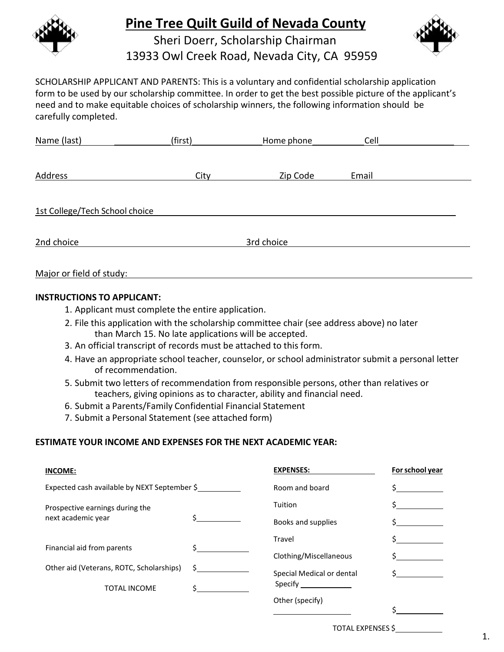

### **Pine Tree Quilt Guild of Nevada County**





SCHOLARSHIP APPLICANT AND PARENTS: This is a voluntary and confidential scholarship application form to be used by our scholarship committee. In order to get the best possible picture of the applicant's need and to make equitable choices of scholarship winners, the following information should be carefully completed.

| (first)    | Home phone | Cell  |  |  |  |
|------------|------------|-------|--|--|--|
|            |            |       |  |  |  |
| City       | Zip Code   | Email |  |  |  |
|            |            |       |  |  |  |
|            |            |       |  |  |  |
| 3rd choice |            |       |  |  |  |
|            |            |       |  |  |  |

#### Major or field of study:

#### **INSTRUCTIONS TO APPLICANT:**

- 1. Applicant must complete the entire application.
- 2. File this application with the scholarship committee chair (see address above) no later than March 15. No late applications will be accepted.
- 3. An official transcript of records must be attached to this form.
- 4. Have an appropriate school teacher, counselor, or school administrator submit a personal letter of recommendation.
- 5. Submit two letters of recommendation from responsible persons, other than relatives or teachers, giving opinions as to character, ability and financial need.
- 6. Submit a Parents/Family Confidential Financial Statement
- 7. Submit a Personal Statement (see attached form)

#### **ESTIMATE YOUR INCOME AND EXPENSES FOR THE NEXT ACADEMIC YEAR:**

| <b>INCOME:</b>                               |    | <b>EXPENSES:</b>          | For school year |
|----------------------------------------------|----|---------------------------|-----------------|
| Expected cash available by NEXT September \$ |    | Room and board            |                 |
| Prospective earnings during the              |    | Tuition                   |                 |
| next academic year                           |    | Books and supplies        |                 |
| Financial aid from parents                   |    | Travel                    |                 |
|                                              |    | Clothing/Miscellaneous    |                 |
| Other aid (Veterans, ROTC, Scholarships)     | S. | Special Medical or dental |                 |
| <b>TOTAL INCOME</b>                          |    | Specify <b>Specify</b>    |                 |
|                                              |    | Other (specify)           |                 |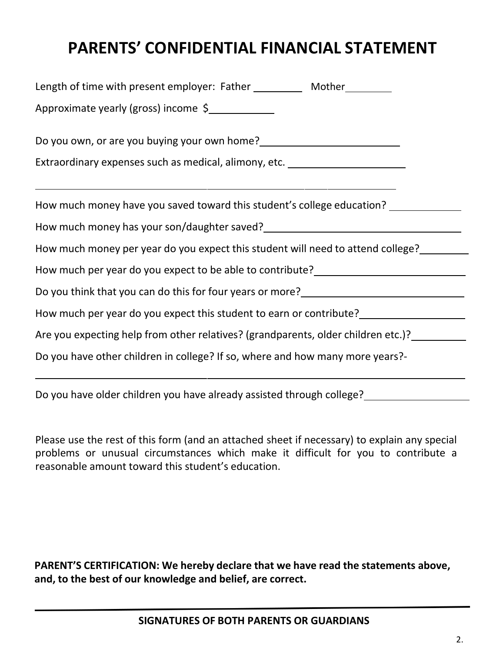## **PARENTS' CONFIDENTIAL FINANCIAL STATEMENT**

| Length of time with present employer: Father ___________ Mother_________                                                       |  |  |  |  |  |
|--------------------------------------------------------------------------------------------------------------------------------|--|--|--|--|--|
| Approximate yearly (gross) income \$                                                                                           |  |  |  |  |  |
| Do you own, or are you buying your own home?<br><u>Do you own, or are you buying your own home?</u>                            |  |  |  |  |  |
| Extraordinary expenses such as medical, alimony, etc. __________________________                                               |  |  |  |  |  |
| How much money have you saved toward this student's college education? __________                                              |  |  |  |  |  |
| How much money has your son/daughter saved?<br>Mow much money has your son/daughter saved?<br>1                                |  |  |  |  |  |
| How much money per year do you expect this student will need to attend college?                                                |  |  |  |  |  |
|                                                                                                                                |  |  |  |  |  |
| Do you think that you can do this for four years or more?<br><u>Now you think that you can do this for four years or more?</u> |  |  |  |  |  |
| How much per year do you expect this student to earn or contribute?                                                            |  |  |  |  |  |
| Are you expecting help from other relatives? (grandparents, older children etc.)?                                              |  |  |  |  |  |
| Do you have other children in college? If so, where and how many more years?-                                                  |  |  |  |  |  |

Do you have older children you have already assisted through college?

Please use the rest of this form (and an attached sheet if necessary) to explain any special problems or unusual circumstances which make it difficult for you to contribute a reasonable amount toward this student's education.

**PARENT'S CERTIFICATION: We hereby declare that we have read the statements above, and, to the best of our knowledge and belief, are correct.**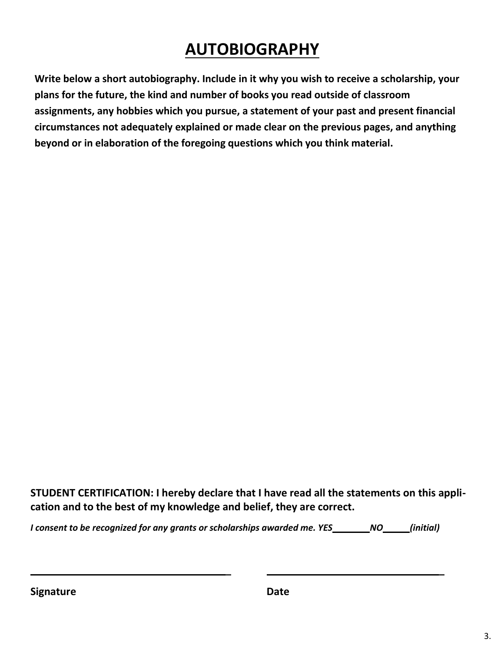# **AUTOBIOGRAPHY**

**Write below a short autobiography. Include in it why you wish to receive a scholarship, your plans for the future, the kind and number of books you read outside of classroom assignments, any hobbies which you pursue, a statement of your past and present financial circumstances not adequately explained or made clear on the previous pages, and anything beyond or in elaboration of the foregoing questions which you think material.**

**STUDENT CERTIFICATION: I hereby declare that I have read all the statements on this application and to the best of my knowledge and belief, they are correct.**

*I consent to be recognized for any grants or scholarships awarded me. YES NO (initial)*

**Signature Date**

**\_ \_**